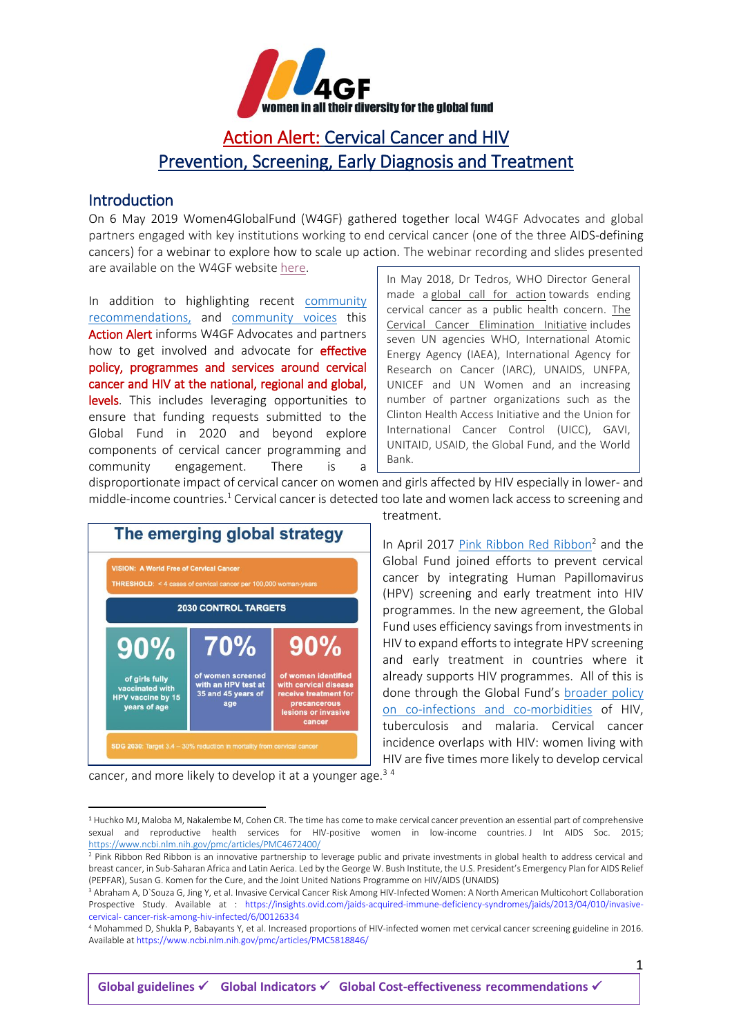

# Action Alert: Cervical Cancer and HIV Prevention, Screening, Early Diagnosis and Treatment

#### **Introduction**

On 6 May 2019 Women4GlobalFund (W4GF) gathered together local W4GF Advocates and global partners engaged with key institutions working to end cervical cancer (one of the three AIDS-defining cancers) for a webinar to explore how to scale up action. The webinar recording and slides presented are available on the W4GF website [here.](http://women4gf.org/2019/05/w4gf-webinar-recording-and-presentations-cervical-cancer-whats-being-funded-through-the-global-fund-where-are-the-opportunities-for-partnership-and-engagement/)

In addition to highlighting recent [community](https://salamandertrust.net/wp-content/uploads/2019/01/Women_Engage_Cervical_Cancer_Advocacy_Booklet_FINAL_8th_March_2019.pdf?mc_cid=94ac914860&mc_eid=3b120e41fa)  [recommendations,](https://salamandertrust.net/wp-content/uploads/2019/01/Women_Engage_Cervical_Cancer_Advocacy_Booklet_FINAL_8th_March_2019.pdf?mc_cid=94ac914860&mc_eid=3b120e41fa) and [community voices](https://salamandertrust.net/podcast/podcast-episode-no-6/) this Action Alert informs W4GF Advocates and partners how to get involved and advocate for **effective** policy, programmes and services around cervical cancer and HIV at the national, regional and global, levels. This includes leveraging opportunities to ensure that funding requests submitted to the Global Fund in 2020 and beyond explore components of cervical cancer programming and community engagement. There is

In May 2018, Dr Tedros, WHO Director General made a [global call for action](https://women4gf.us20.list-manage.com/track/click?u=7694fdec07793ad302219611e&id=b2b2467d99&e=c2175a527f) towards ending cervical cancer as a public health concern. [The](https://women4gf.us20.list-manage.com/track/click?u=7694fdec07793ad302219611e&id=6bebf91bee&e=c2175a527f)  [Cervical Cancer Elimination Initiative](https://women4gf.us20.list-manage.com/track/click?u=7694fdec07793ad302219611e&id=6bebf91bee&e=c2175a527f) includes seven UN agencies WHO, International Atomic Energy Agency (IAEA), International Agency for Research on Cancer (IARC), UNAIDS, UNFPA, UNICEF and UN Women and an increasing number of partner organizations such as the Clinton Health Access Initiative and the Union for International Cancer Control (UICC), GAVI, UNITAID, USAID, the Global Fund, and the World Bank.

disproportionate impact of cervical cancer on women and girls affected by HIV especially in lower- and middle-income countries. $^1$  Cervical cancer is detected too late and women lack access to screening and



cancer, and more likely to develop it at a younger age.<sup>34</sup>

l

treatment.

In April 2017 [Pink Ribbon Red Ribbon](https://www.pepfar.gov/partnerships/ppp/prrr/)<sup>2</sup> and the Global Fund joined efforts to prevent cervical cancer by integrating Human Papillomavirus (HPV) screening and early treatment into HIV programmes. In the new agreement, the Global Fund uses efficiency savings from investments in HIV to expand efforts to integrate HPV screening and early treatment in countries where it already supports HIV programmes. All of this is done through the Global Fund's [broader policy](https://www.theglobalfund.org/media/4167/bm33_11-co-infectionsandco-morbidities_report_en.pdf)  [on co-infections and co-morbidities](https://www.theglobalfund.org/media/4167/bm33_11-co-infectionsandco-morbidities_report_en.pdf) of HIV, tuberculosis and malaria. Cervical cancer incidence overlaps with HIV: women living with HIV are five times more likely to develop cervical

1

<sup>1</sup> Huchko MJ, Maloba M, Nakalembe M, Cohen CR. The time has come to make cervical cancer prevention an essential part of comprehensive sexual and reproductive health services for HIV-positive women in low-income countries. J Int AIDS Soc. 2015; <https://www.ncbi.nlm.nih.gov/pmc/articles/PMC4672400/>

<sup>&</sup>lt;sup>2</sup> [Pink Ribbon Red Ribbon](http://pinkribbonredribbon.org/) is an innovative partnership to leverage public and private investments in global health to address cervical and breast cancer, in Sub-Saharan Africa and Latin Aerica. Led by the George W. Bush Institute, the U.S. President's Emergency Plan for AIDS Relief (PEPFAR), Susan G. Komen for the Cure, and the Joint United Nations Programme on HIV/AIDS (UNAIDS)

<sup>3</sup> Abraham A, D`Souza G, Jing Y, et al. Invasive Cervical Cancer Risk Among HIV-Infected Women: A North American Multicohort Collaboration Prospective Study. Available at : https://insights.ovid.com/jaids-acquired-immune-deficiency-syndromes/jaids/2013/04/010/invasivecervical- cancer-risk-among-hiv-infected/6/00126334

<sup>4</sup> Mohammed D, Shukla P, Babayants Y, et al. Increased proportions of HIV-infected women met cervical cancer screening guideline in 2016. Available at https://www.ncbi.nlm.nih.gov/pmc/articles/PMC5818846/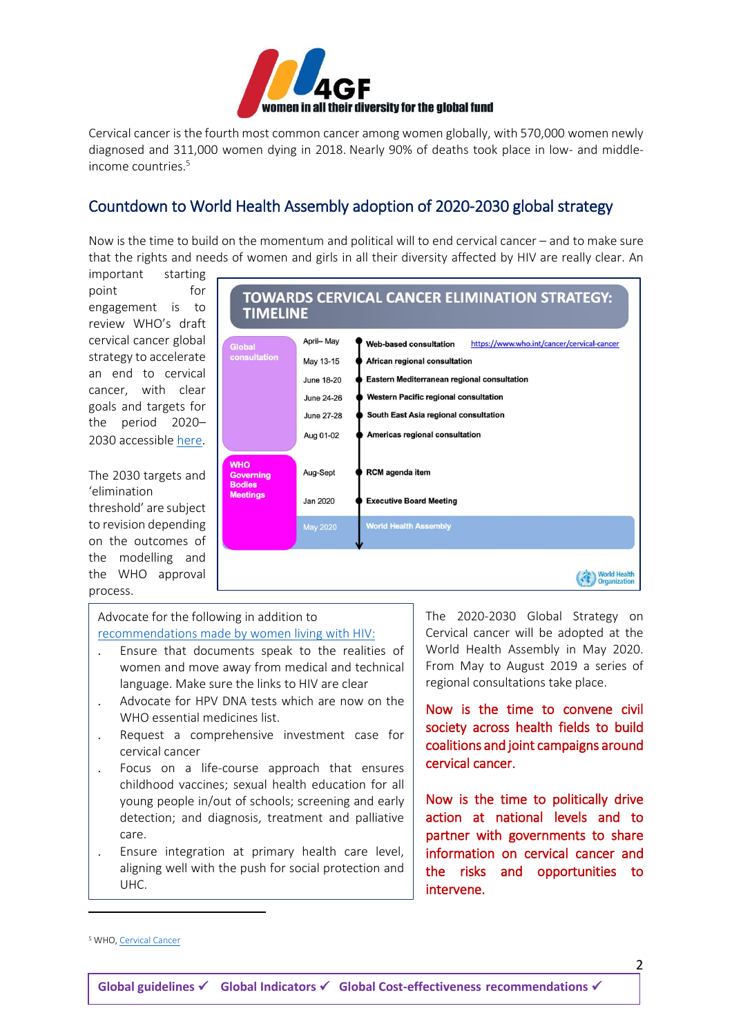

Cervical cancer is the fourth most common cancer among women globally, with 570,000 women newly diagnosed and 311,000 women dying in 2018. Nearly 90% of deaths took place in low- and middleincome countries. 5

## Countdown to World Health Assembly adoption of 2020-2030 global strategy

Now is the time to build on the momentum and political will to end cervical cancer – and to make sure that the rights and needs of women and girls in all their diversity affected by HIV are really clear. An

important starting point for engagement is to review WHO's draft cervical cancer global strategy to accelerate an end to cervical cancer, with clear goals and targets for the period 2020– 2030 accessible [here](https://women4gf.us20.list-manage.com/track/click?u=7694fdec07793ad302219611e&id=e80e3d3e7a&e=c2175a527f).

#### The 2030 targets and 'elimination threshold' are subject to revision depending on the outcomes of

the modelling and the WHO approval process.



Advocate for the following in addition to recommendations [made by women living with HIV:](https://salamandertrust.net/wp-content/uploads/2019/01/Women_Engage_Cervical_Cancer_Advocacy_Booklet_FINAL_8th_March_2019.pdf?mc_cid=94ac914860&mc_eid=3b120e41fa)

- Ensure that documents speak to the realities of women and move away from medical and technical language. Make sure the links to HIV are clear
- Advocate for HPV DNA tests which are now on the WHO essential medicines list.
- Request a comprehensive investment case for cervical cancer
- Focus on a life-course approach that ensures childhood vaccines; sexual health education for all young people in/out of schools; screening and early detection; and diagnosis, treatment and palliative care.
- Ensure integration at primary health care level, aligning well with the push for social protection and UHC.

The 2020-2030 Global Strategy on Cervical cancer will be adopted at the World Health Assembly in May 2020. From May to August 2019 a series of regional consultations take place.

Now is the time to convene civil society across health fields to build coalitions and joint campaigns around cervical cancer.

Now is the time to politically drive action at national levels and to partner with governments to share information on cervical cancer and the risks and opportunities to intervene.

 $\overline{a}$ 

2

<sup>&</sup>lt;sup>5</sup> WHO[, Cervical Cancer](/Users/alicewelbourn/Dropbox/2018SEPPromotingALIVHEFRAMEWORK:%20DTG:Cervical%20Cancer:Podcasts/Cervical%20Cancer/Cervical%20cancer%20is%20the%20fourth%20most%20common%20cancer%20among%20women%20globally)